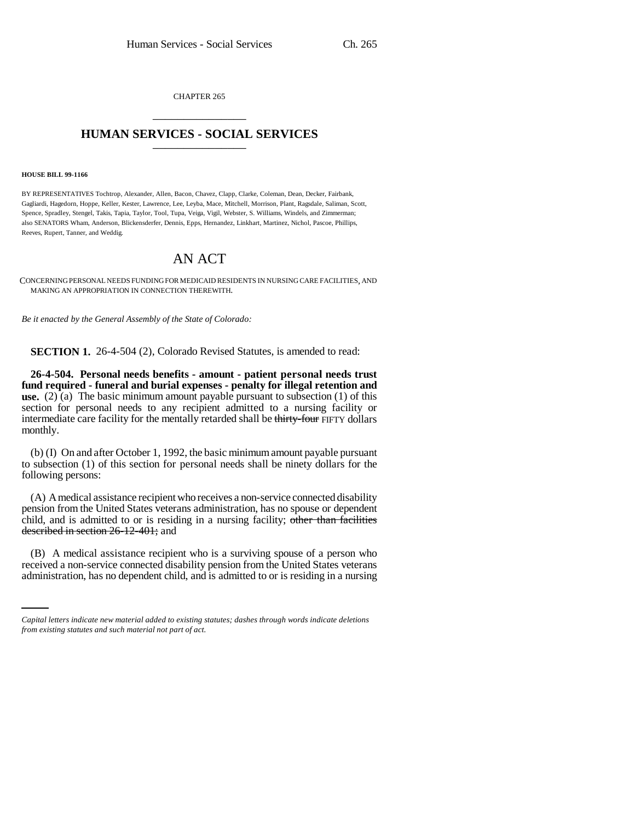CHAPTER 265 \_\_\_\_\_\_\_\_\_\_\_\_\_\_\_

## **HUMAN SERVICES - SOCIAL SERVICES** \_\_\_\_\_\_\_\_\_\_\_\_\_\_\_

## **HOUSE BILL 99-1166**

BY REPRESENTATIVES Tochtrop, Alexander, Allen, Bacon, Chavez, Clapp, Clarke, Coleman, Dean, Decker, Fairbank, Gagliardi, Hagedorn, Hoppe, Keller, Kester, Lawrence, Lee, Leyba, Mace, Mitchell, Morrison, Plant, Ragsdale, Saliman, Scott, Spence, Spradley, Stengel, Takis, Tapia, Taylor, Tool, Tupa, Veiga, Vigil, Webster, S. Williams, Windels, and Zimmerman; also SENATORS Wham, Anderson, Blickensderfer, Dennis, Epps, Hernandez, Linkhart, Martinez, Nichol, Pascoe, Phillips, Reeves, Rupert, Tanner, and Weddig.

## AN ACT

CONCERNING PERSONAL NEEDS FUNDING FOR MEDICAID RESIDENTS IN NURSING CARE FACILITIES, AND MAKING AN APPROPRIATION IN CONNECTION THEREWITH.

*Be it enacted by the General Assembly of the State of Colorado:*

**SECTION 1.** 26-4-504 (2), Colorado Revised Statutes, is amended to read:

**26-4-504. Personal needs benefits - amount - patient personal needs trust fund required - funeral and burial expenses - penalty for illegal retention and use.** (2) (a) The basic minimum amount payable pursuant to subsection (1) of this section for personal needs to any recipient admitted to a nursing facility or intermediate care facility for the mentally retarded shall be thirty-four FIFTY dollars monthly.

(b) (I) On and after October 1, 1992, the basic minimum amount payable pursuant to subsection (1) of this section for personal needs shall be ninety dollars for the following persons:

(A) A medical assistance recipient who receives a non-service connected disability pension from the United States veterans administration, has no spouse or dependent child, and is admitted to or is residing in a nursing facility; other than facilities described in section 26-12-401; and

(B) A medical assistance recipient who is a surviving spouse of a person who received a non-service connected disability pension from the United States veterans administration, has no dependent child, and is admitted to or is residing in a nursing

*Capital letters indicate new material added to existing statutes; dashes through words indicate deletions from existing statutes and such material not part of act.*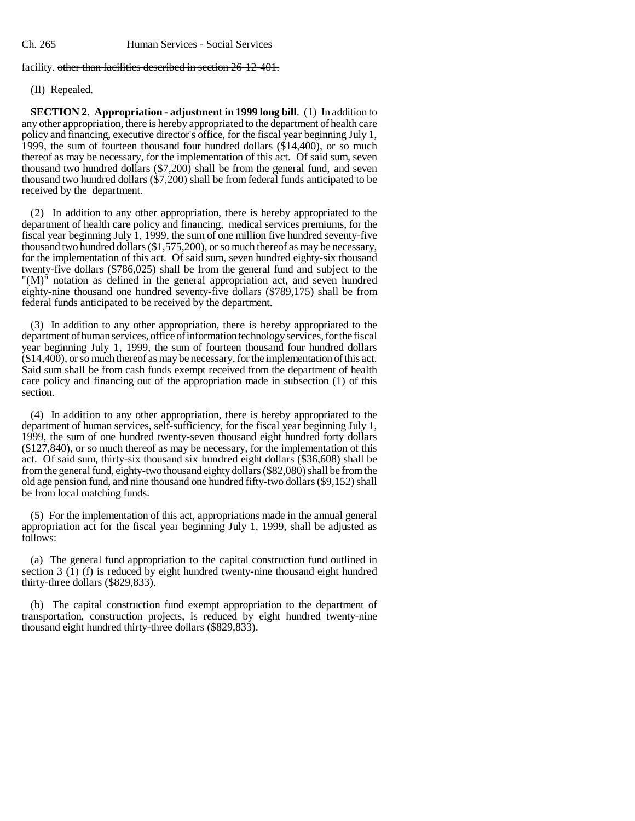facility. other than facilities described in section 26-12-401.

(II) Repealed.

**SECTION 2. Appropriation - adjustment in 1999 long bill**. (1) In addition to any other appropriation, there is hereby appropriated to the department of health care policy and financing, executive director's office, for the fiscal year beginning July 1, 1999, the sum of fourteen thousand four hundred dollars (\$14,400), or so much thereof as may be necessary, for the implementation of this act. Of said sum, seven thousand two hundred dollars (\$7,200) shall be from the general fund, and seven thousand two hundred dollars (\$7,200) shall be from federal funds anticipated to be received by the department.

(2) In addition to any other appropriation, there is hereby appropriated to the department of health care policy and financing, medical services premiums, for the fiscal year beginning July 1, 1999, the sum of one million five hundred seventy-five thousand two hundred dollars (\$1,575,200), or so much thereof as may be necessary, for the implementation of this act. Of said sum, seven hundred eighty-six thousand twenty-five dollars (\$786,025) shall be from the general fund and subject to the "(M)" notation as defined in the general appropriation act, and seven hundred eighty-nine thousand one hundred seventy-five dollars (\$789,175) shall be from federal funds anticipated to be received by the department.

(3) In addition to any other appropriation, there is hereby appropriated to the department of human services, office of information technology services, for the fiscal year beginning July 1, 1999, the sum of fourteen thousand four hundred dollars (\$14,400), or so much thereof as may be necessary, for the implementation of this act. Said sum shall be from cash funds exempt received from the department of health care policy and financing out of the appropriation made in subsection (1) of this section.

(4) In addition to any other appropriation, there is hereby appropriated to the department of human services, self-sufficiency, for the fiscal year beginning July 1, 1999, the sum of one hundred twenty-seven thousand eight hundred forty dollars (\$127,840), or so much thereof as may be necessary, for the implementation of this act. Of said sum, thirty-six thousand six hundred eight dollars (\$36,608) shall be from the general fund, eighty-two thousand eighty dollars (\$82,080) shall be from the old age pension fund, and nine thousand one hundred fifty-two dollars (\$9,152) shall be from local matching funds.

(5) For the implementation of this act, appropriations made in the annual general appropriation act for the fiscal year beginning July 1, 1999, shall be adjusted as follows:

(a) The general fund appropriation to the capital construction fund outlined in section 3 (1) (f) is reduced by eight hundred twenty-nine thousand eight hundred thirty-three dollars (\$829,833).

(b) The capital construction fund exempt appropriation to the department of transportation, construction projects, is reduced by eight hundred twenty-nine thousand eight hundred thirty-three dollars (\$829,833).